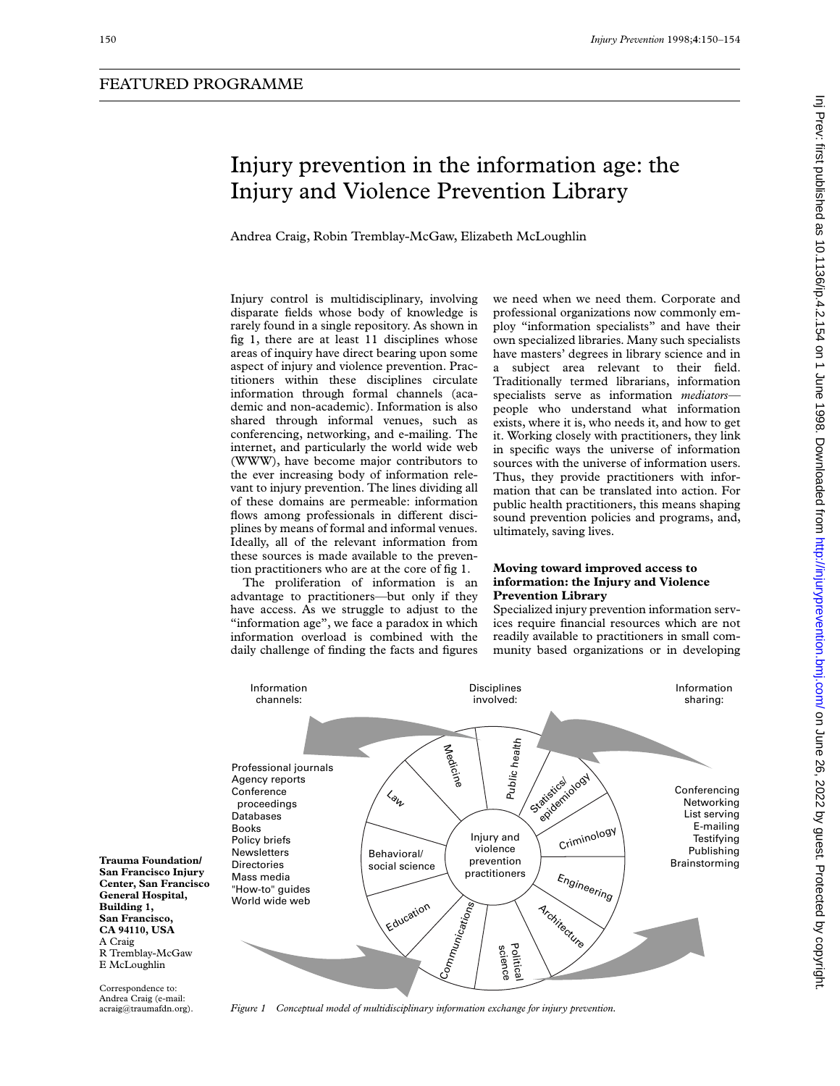# Injury prevention in the information age: the Injury and Violence Prevention Library

Andrea Craig, Robin Tremblay-McGaw, Elizabeth McLoughlin

Injury control is multidisciplinary, involving disparate fields whose body of knowledge is rarely found in a single repository. As shown in fig 1, there are at least 11 disciplines whose areas of inquiry have direct bearing upon some aspect of injury and violence prevention. Practitioners within these disciplines circulate information through formal channels (academic and non-academic). Information is also shared through informal venues, such as conferencing, networking, and e-mailing. The internet, and particularly the world wide web (WWW), have become major contributors to the ever increasing body of information relevant to injury prevention. The lines dividing all of these domains are permeable: information flows among professionals in different disciplines by means of formal and informal venues. Ideally, all of the relevant information from these sources is made available to the prevention practitioners who are at the core of fig 1.

The proliferation of information is an advantage to practitioners—but only if they have access. As we struggle to adjust to the "information age", we face a paradox in which information overload is combined with the daily challenge of finding the facts and figures

we need when we need them. Corporate and professional organizations now commonly employ "information specialists" and have their own specialized libraries. Many such specialists have masters' degrees in library science and in a subject area relevant to their field. Traditionally termed librarians, information specialists serve as information *mediators* people who understand what information exists, where it is, who needs it, and how to get it. Working closely with practitioners, they link in specific ways the universe of information sources with the universe of information users. Thus, they provide practitioners with information that can be translated into action. For public health practitioners, this means shaping sound prevention policies and programs, and, ultimately, saving lives.

## **Moving toward improved access to information: the Injury and Violence Prevention Library**

Specialized injury prevention information services require financial resources which are not readily available to practitioners in small community based organizations or in developing



**Trauma Foundation/ San Francisco Injury Center, San Francisco General Hospital, Building 1, San Francisco, CA 94110, USA** A Craig R Tremblay-McGaw E McLoughlin

Correspondence to: Andrea Craig (e-mail: acraig@traumafdn.org).

*Figure 1 Conceptual model of multidisciplinary information exchange for injury prevention.*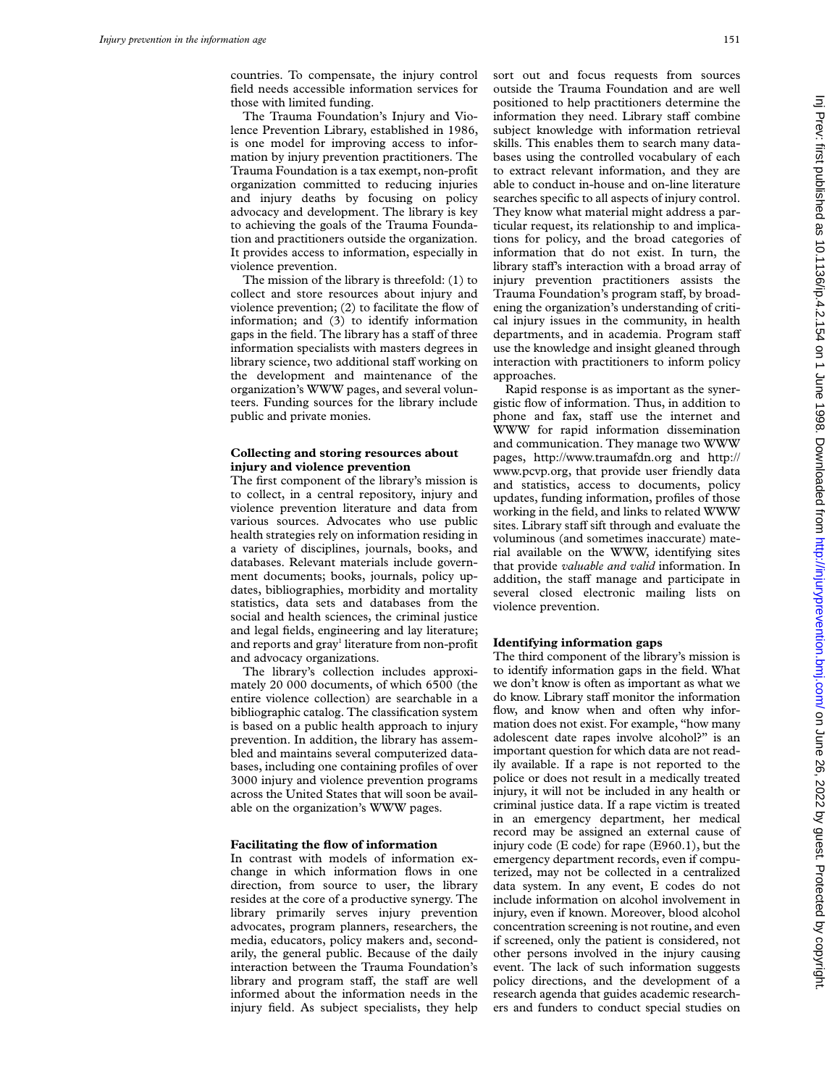countries. To compensate, the injury control field needs accessible information services for those with limited funding.

The Trauma Foundation's Injury and Violence Prevention Library, established in 1986, is one model for improving access to information by injury prevention practitioners. The Trauma Foundation is a tax exempt, non-profit organization committed to reducing injuries and injury deaths by focusing on policy advocacy and development. The library is key to achieving the goals of the Trauma Foundation and practitioners outside the organization. It provides access to information, especially in violence prevention.

The mission of the library is threefold: (1) to collect and store resources about injury and violence prevention; (2) to facilitate the flow of information; and (3) to identify information gaps in the field. The library has a staff of three information specialists with masters degrees in library science, two additional staff working on the development and maintenance of the organization's WWW pages, and several volunteers. Funding sources for the library include public and private monies.

## **Collecting and storing resources about injury and violence prevention**

The first component of the library's mission is to collect, in a central repository, injury and violence prevention literature and data from various sources. Advocates who use public health strategies rely on information residing in a variety of disciplines, journals, books, and databases. Relevant materials include government documents; books, journals, policy updates, bibliographies, morbidity and mortality statistics, data sets and databases from the social and health sciences, the criminal justice and legal fields, engineering and lay literature; and reports and gray<sup>1</sup> literature from non-profit and advocacy organizations.

The library's collection includes approximately 20 000 documents, of which 6500 (the entire violence collection) are searchable in a bibliographic catalog. The classification system is based on a public health approach to injury prevention. In addition, the library has assembled and maintains several computerized databases, including one containing profiles of over 3000 injury and violence prevention programs across the United States that will soon be available on the organization's WWW pages.

# **Facilitating the flow of information**

In contrast with models of information exchange in which information flows in one direction, from source to user, the library resides at the core of a productive synergy. The library primarily serves injury prevention advocates, program planners, researchers, the media, educators, policy makers and, secondarily, the general public. Because of the daily interaction between the Trauma Foundation's library and program staff, the staff are well informed about the information needs in the injury field. As subject specialists, they help

sort out and focus requests from sources outside the Trauma Foundation and are well positioned to help practitioners determine the information they need. Library staff combine subject knowledge with information retrieval skills. This enables them to search many databases using the controlled vocabulary of each to extract relevant information, and they are able to conduct in-house and on-line literature searches specific to all aspects of injury control. They know what material might address a particular request, its relationship to and implications for policy, and the broad categories of information that do not exist. In turn, the library staff's interaction with a broad array of injury prevention practitioners assists the Trauma Foundation's program staff, by broadening the organization's understanding of critical injury issues in the community, in health departments, and in academia. Program staff use the knowledge and insight gleaned through interaction with practitioners to inform policy approaches.

Rapid response is as important as the synergistic flow of information. Thus, in addition to phone and fax, staff use the internet and WWW for rapid information dissemination and communication. They manage two WWW pages, http://www.traumafdn.org and http:// www.pcvp.org, that provide user friendly data and statistics, access to documents, policy updates, funding information, profiles of those working in the field, and links to related WWW sites. Library staff sift through and evaluate the voluminous (and sometimes inaccurate) material available on the WWW, identifying sites that provide *valuable and valid* information. In addition, the staff manage and participate in several closed electronic mailing lists on violence prevention.

## **Identifying information gaps**

The third component of the library's mission is to identify information gaps in the field. What we don't know is often as important as what we do know. Library staff monitor the information flow, and know when and often why information does not exist. For example, "how many adolescent date rapes involve alcohol?" is an important question for which data are not readily available. If a rape is not reported to the police or does not result in a medically treated injury, it will not be included in any health or criminal justice data. If a rape victim is treated in an emergency department, her medical record may be assigned an external cause of injury code (E code) for rape (E960.1), but the emergency department records, even if computerized, may not be collected in a centralized data system. In any event, E codes do not include information on alcohol involvement in injury, even if known. Moreover, blood alcohol concentration screening is not routine, and even if screened, only the patient is considered, not other persons involved in the injury causing event. The lack of such information suggests policy directions, and the development of a research agenda that guides academic researchers and funders to conduct special studies on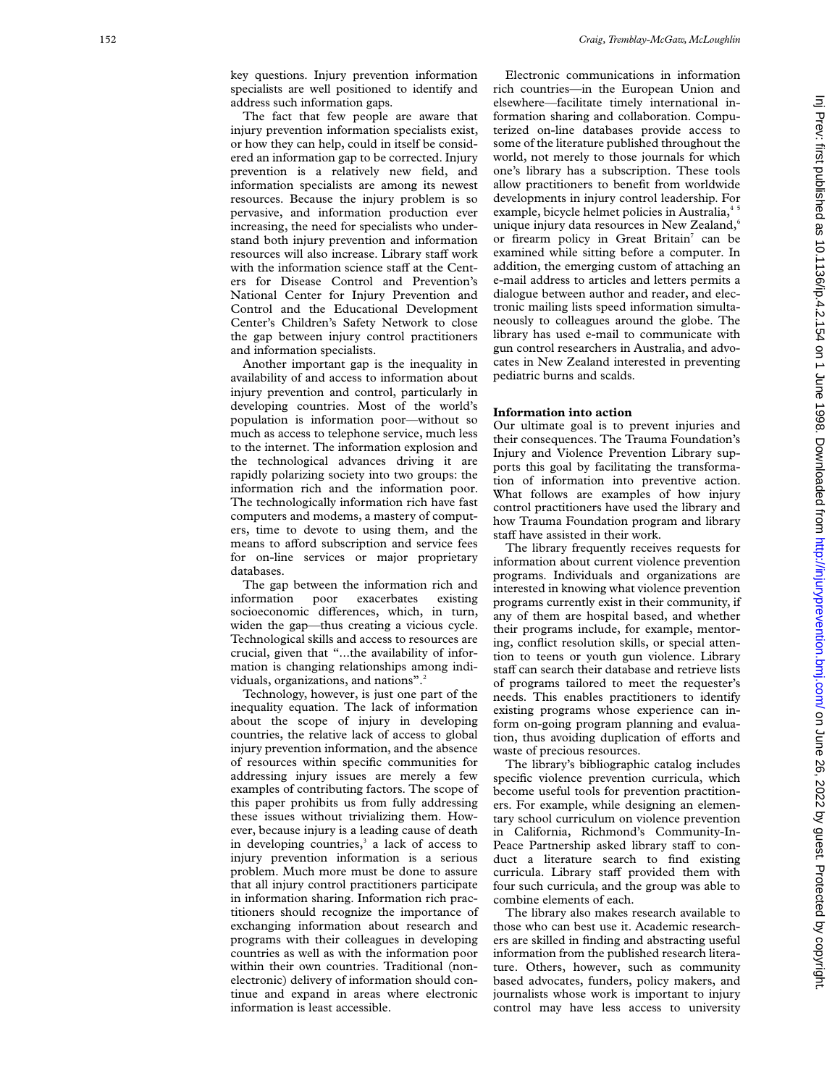key questions. Injury prevention information specialists are well positioned to identify and address such information gaps.

The fact that few people are aware that injury prevention information specialists exist, or how they can help, could in itself be considered an information gap to be corrected. Injury prevention is a relatively new field, and information specialists are among its newest resources. Because the injury problem is so pervasive, and information production ever increasing, the need for specialists who understand both injury prevention and information resources will also increase. Library staff work with the information science staff at the Centers for Disease Control and Prevention's National Center for Injury Prevention and Control and the Educational Development Center's Children's Safety Network to close the gap between injury control practitioners and information specialists.

Another important gap is the inequality in availability of and access to information about injury prevention and control, particularly in developing countries. Most of the world's population is information poor—without so much as access to telephone service, much less to the internet. The information explosion and the technological advances driving it are rapidly polarizing society into two groups: the information rich and the information poor. The technologically information rich have fast computers and modems, a mastery of computers, time to devote to using them, and the means to afford subscription and service fees for on-line services or major proprietary databases.

The gap between the information rich and information poor exacerbates existing socioeconomic differences, which, in turn, widen the gap—thus creating a vicious cycle. Technological skills and access to resources are crucial, given that "...the availability of information is changing relationships among individuals, organizations, and nations".<sup>2</sup>

Technology, however, is just one part of the inequality equation. The lack of information about the scope of injury in developing countries, the relative lack of access to global injury prevention information, and the absence of resources within specific communities for addressing injury issues are merely a few examples of contributing factors. The scope of this paper prohibits us from fully addressing these issues without trivializing them. However, because injury is a leading cause of death in developing countries, <sup>3</sup> a lack of access to injury prevention information is a serious problem. Much more must be done to assure that all injury control practitioners participate in information sharing. Information rich practitioners should recognize the importance of exchanging information about research and programs with their colleagues in developing countries as well as with the information poor within their own countries. Traditional (nonelectronic) delivery of information should continue and expand in areas where electronic information is least accessible.

Electronic communications in information rich countries—in the European Union and elsewhere—facilitate timely international information sharing and collaboration. Computerized on-line databases provide access to some of the literature published throughout the world, not merely to those journals for which one's library has a subscription. These tools allow practitioners to benefit from worldwide developments in injury control leadership. For example, bicycle helmet policies in Australia,<sup>4</sup> unique injury data resources in New Zealand, 6 or firearm policy in Great Britain <sup>7</sup> can be examined while sitting before a computer. In addition, the emerging custom of attaching an e-mail address to articles and letters permits a dialogue between author and reader, and electronic mailing lists speed information simultaneously to colleagues around the globe. The library has used e-mail to communicate with gun control researchers in Australia, and advocates in New Zealand interested in preventing pediatric burns and scalds.

#### **Information into action**

Our ultimate goal is to prevent injuries and their consequences. The Trauma Foundation's Injury and Violence Prevention Library supports this goal by facilitating the transformation of information into preventive action. What follows are examples of how injury control practitioners have used the library and how Trauma Foundation program and library staff have assisted in their work.

The library frequently receives requests for information about current violence prevention programs. Individuals and organizations are interested in knowing what violence prevention programs currently exist in their community, if any of them are hospital based, and whether their programs include, for example, mentoring, conflict resolution skills, or special attention to teens or youth gun violence. Library staff can search their database and retrieve lists of programs tailored to meet the requester's needs. This enables practitioners to identify existing programs whose experience can inform on-going program planning and evaluation, thus avoiding duplication of efforts and waste of precious resources.

The library's bibliographic catalog includes specific violence prevention curricula, which become useful tools for prevention practitioners. For example, while designing an elementary school curriculum on violence prevention in California, Richmond's Community-In-Peace Partnership asked library staff to conduct a literature search to find existing curricula. Library staff provided them with four such curricula, and the group was able to combine elements of each.

The library also makes research available to those who can best use it. Academic researchers are skilled in finding and abstracting useful information from the published research literature. Others, however, such as community based advocates, funders, policy makers, and journalists whose work is important to injury control may have less access to university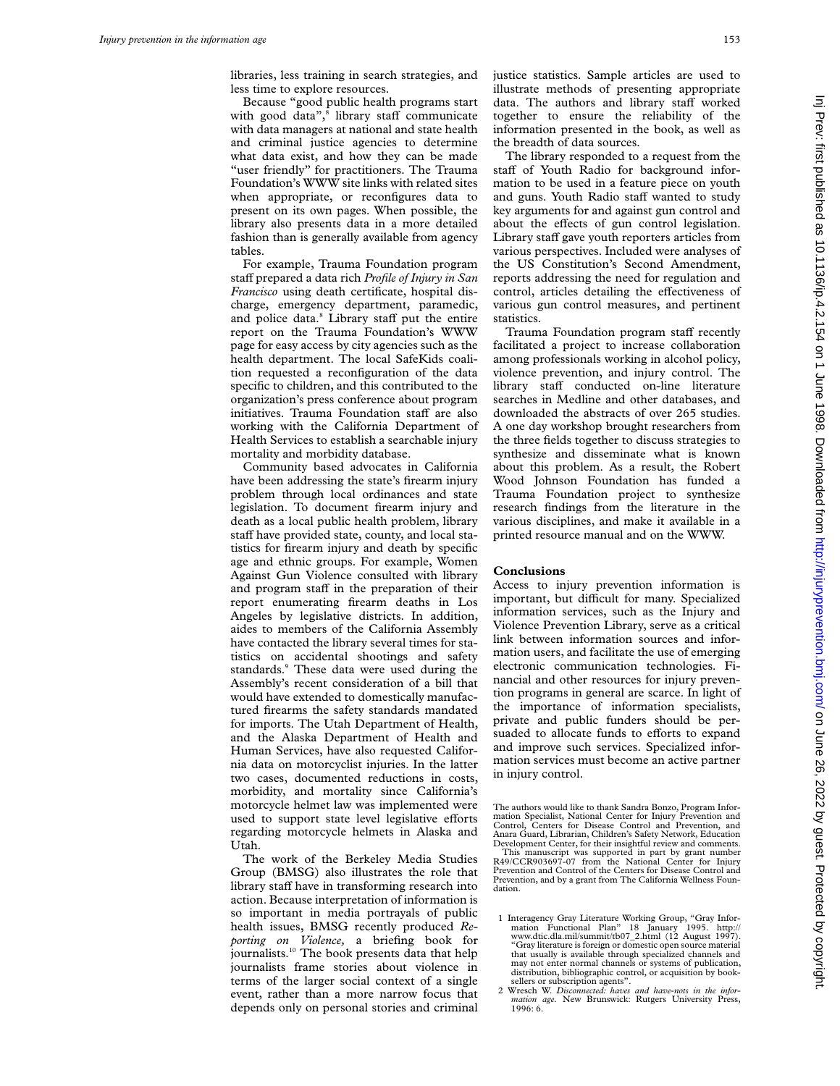libraries, less training in search strategies, and less time to explore resources.

Because "good public health programs start with good data",<sup>8</sup> library staff communicate with data managers at national and state health and criminal justice agencies to determine what data exist, and how they can be made "user friendly" for practitioners. The Trauma Foundation's WWW site links with related sites when appropriate, or reconfigures data to present on its own pages. When possible, the library also presents data in a more detailed fashion than is generally available from agency tables.

For example, Trauma Foundation program staff prepared a data rich *Profile of Injury in San Francisco* using death certificate, hospital discharge, emergency department, paramedic, and police data.<sup>8</sup> Library staff put the entire report on the Trauma Foundation's WWW page for easy access by city agencies such as the health department. The local SafeKids coalition requested a reconfiguration of the data specific to children, and this contributed to the organization's press conference about program initiatives. Trauma Foundation staff are also working with the California Department of Health Services to establish a searchable injury mortality and morbidity database.

Community based advocates in California have been addressing the state's firearm injury problem through local ordinances and state legislation. To document firearm injury and death as a local public health problem, library staff have provided state, county, and local statistics for firearm injury and death by specific age and ethnic groups. For example, Women Against Gun Violence consulted with library and program staff in the preparation of their report enumerating firearm deaths in Los Angeles by legislative districts. In addition, aides to members of the California Assembly have contacted the library several times for statistics on accidental shootings and safety standards.<sup>9</sup> These data were used during the Assembly's recent consideration of a bill that would have extended to domestically manufactured firearms the safety standards mandated for imports. The Utah Department of Health, and the Alaska Department of Health and Human Services, have also requested California data on motorcyclist injuries. In the latter two cases, documented reductions in costs, morbidity, and mortality since California's motorcycle helmet law was implemented were used to support state level legislative efforts regarding motorcycle helmets in Alaska and Utah.

The work of the Berkeley Media Studies Group (BMSG) also illustrates the role that library staff have in transforming research into action. Because interpretation of information is so important in media portrayals of public health issues, BMSG recently produced *Reporting on Violence,* a briefing book for journalists.<sup>10</sup> The book presents data that help journalists frame stories about violence in terms of the larger social context of a single event, rather than a more narrow focus that depends only on personal stories and criminal

justice statistics. Sample articles are used to illustrate methods of presenting appropriate data. The authors and library staff worked together to ensure the reliability of the information presented in the book, as well as the breadth of data sources.

The library responded to a request from the staff of Youth Radio for background information to be used in a feature piece on youth and guns. Youth Radio staff wanted to study key arguments for and against gun control and about the effects of gun control legislation. Library staff gave youth reporters articles from various perspectives. Included were analyses of the US Constitution's Second Amendment, reports addressing the need for regulation and control, articles detailing the effectiveness of various gun control measures, and pertinent statistics.

Trauma Foundation program staff recently facilitated a project to increase collaboration among professionals working in alcohol policy, violence prevention, and injury control. The library staff conducted on-line literature searches in Medline and other databases, and downloaded the abstracts of over 265 studies. A one day workshop brought researchers from the three fields together to discuss strategies to synthesize and disseminate what is known about this problem. As a result, the Robert Wood Johnson Foundation has funded a Trauma Foundation project to synthesize research findings from the literature in the various disciplines, and make it available in a printed resource manual and on the WWW.

#### **Conclusions**

Access to injury prevention information is important, but difficult for many. Specialized information services, such as the Injury and Violence Prevention Library, serve as a critical link between information sources and information users, and facilitate the use of emerging electronic communication technologies. Financial and other resources for injury prevention programs in general are scarce. In light of the importance of information specialists, private and public funders should be persuaded to allocate funds to efforts to expand and improve such services. Specialized information services must become an active partner in injury control.

The authors would like to thank Sandra Bonzo, Program Information Specialist, National Center for Injury Prevention and Control, Centers for Disease Control and Prevention, and Anara Guard, Librarian, Children's Safety Network, Education Development Center, for their insightful review and comments. This manuscript was supported in part by grant number R49/CCR903697-07 from the National Center for Injury Prevention and Control of the Centers for Disease Control and Prevention, and by a grant from The California Wellness Foundation.

<sup>1</sup> Interagency Gray Literature Working Group, "Gray Infor-mation Functional Plan" 18 January 1995. http:// www.dtic.dla.mil/summit/tb07\_2.html (12 August 1997). "Gray literature is foreign or domestic open source material that usually is available through specialized channels and may not enter normal channels or systems of publication, distribution, bibliographic control, or acquisition by book-sellers or subscription agents".

<sup>2</sup> Wresch W. *Disconnected: haves and have-nots in the infor-mation age.* New Brunswick: Rutgers University Press, 1996: 6.